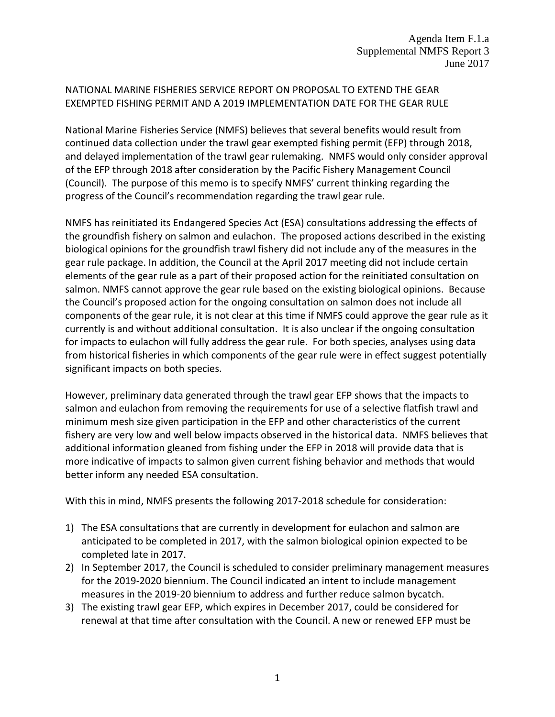## NATIONAL MARINE FISHERIES SERVICE REPORT ON PROPOSAL TO EXTEND THE GEAR EXEMPTED FISHING PERMIT AND A 2019 IMPLEMENTATION DATE FOR THE GEAR RULE

National Marine Fisheries Service (NMFS) believes that several benefits would result from continued data collection under the trawl gear exempted fishing permit (EFP) through 2018, and delayed implementation of the trawl gear rulemaking. NMFS would only consider approval of the EFP through 2018 after consideration by the Pacific Fishery Management Council (Council). The purpose of this memo is to specify NMFS' current thinking regarding the progress of the Council's recommendation regarding the trawl gear rule.

NMFS has reinitiated its Endangered Species Act (ESA) consultations addressing the effects of the groundfish fishery on salmon and eulachon. The proposed actions described in the existing biological opinions for the groundfish trawl fishery did not include any of the measures in the gear rule package. In addition, the Council at the April 2017 meeting did not include certain elements of the gear rule as a part of their proposed action for the reinitiated consultation on salmon. NMFS cannot approve the gear rule based on the existing biological opinions. Because the Council's proposed action for the ongoing consultation on salmon does not include all components of the gear rule, it is not clear at this time if NMFS could approve the gear rule as it currently is and without additional consultation. It is also unclear if the ongoing consultation for impacts to eulachon will fully address the gear rule. For both species, analyses using data from historical fisheries in which components of the gear rule were in effect suggest potentially significant impacts on both species.

However, preliminary data generated through the trawl gear EFP shows that the impacts to salmon and eulachon from removing the requirements for use of a selective flatfish trawl and minimum mesh size given participation in the EFP and other characteristics of the current fishery are very low and well below impacts observed in the historical data. NMFS believes that additional information gleaned from fishing under the EFP in 2018 will provide data that is more indicative of impacts to salmon given current fishing behavior and methods that would better inform any needed ESA consultation.

With this in mind, NMFS presents the following 2017-2018 schedule for consideration:

- 1) The ESA consultations that are currently in development for eulachon and salmon are anticipated to be completed in 2017, with the salmon biological opinion expected to be completed late in 2017.
- 2) In September 2017, the Council is scheduled to consider preliminary management measures for the 2019-2020 biennium. The Council indicated an intent to include management measures in the 2019-20 biennium to address and further reduce salmon bycatch.
- 3) The existing trawl gear EFP, which expires in December 2017, could be considered for renewal at that time after consultation with the Council. A new or renewed EFP must be